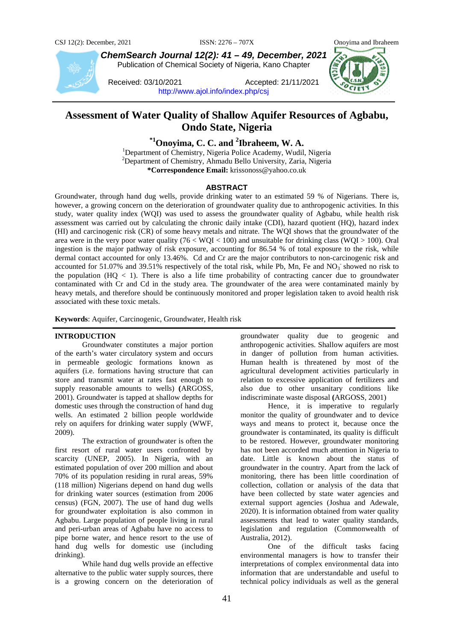

*ChemSearch Journal 12(2): 41 – 49, December, 2021* Publication of Chemical Society of Nigeria, Kano Chapter

Received: 03/10/2021 Accepted: 21/11/2021 <http://www.ajol.info/index.php/csj>



# **Assessment of Water Quality of Shallow Aquifer Resources of Agbabu, Ondo State, Nigeria**

**\*1Onoyima, C. C. and 2 Ibraheem, W. A.** <sup>1</sup>

<sup>1</sup>Department of Chemistry, Nigeria Police Academy, Wudil, Nigeria 2 Department of Chemistry, Ahmadu Bello University, Zaria, Nigeria **\*Correspondence Email:** krissonoss@yahoo.co.uk

# **ABSTRACT**

Groundwater, through hand dug wells, provide drinking water to an estimated 59 % of Nigerians. There is, however, a growing concern on the deterioration of groundwater quality due to anthropogenic activities. In this study, water quality index (WQI) was used to assess the groundwater quality of Agbabu, while health risk assessment was carried out by calculating the chronic daily intake (CDI), hazard quotient (HQ), hazard index (HI) and carcinogenic risk (CR) of some heavy metals and nitrate. The WQI shows that the groundwater of the area were in the very poor water quality ( $76 < WQI < 100$ ) and unsuitable for drinking class ( $WQI > 100$ ). Oral ingestion is the major pathway of risk exposure, accounting for 86.54 % of total exposure to the risk, while dermal contact accounted for only 13.46%. Cd and Cr are the major contributors to non-carcinogenic risk and accounted for 51.07% and 39.51% respectively of the total risk, while Pb, Mn, Fe and NO<sub>3</sub> showed no risk to the population  $(HQ < 1)$ . There is also a life time probability of contracting cancer due to groundwater contaminated with Cr and Cd in the study area. The groundwater of the area were contaminated mainly by heavy metals, and therefore should be continuously monitored and proper legislation taken to avoid health risk associated with these toxic metals.

**Keywords**: Aquifer, Carcinogenic, Groundwater, Health risk

### **INTRODUCTION**

Groundwater constitutes a major portion of the earth's water circulatory system and occurs in permeable geologic formations known as aquifers (i.e. formations having structure that can store and transmit water at rates fast enough to supply reasonable amounts to wells) **(**ARGOSS, 2001). Groundwater is tapped at shallow depths for domestic uses through the construction of hand dug wells. An estimated 2 billion people worldwide rely on aquifers for drinking water supply (WWF, 2009).

The extraction of groundwater is often the first resort of rural water users confronted by scarcity (UNEP, 2005). In Nigeria, with an estimated population of over 200 million and about 70% of its population residing in rural areas, 59% (118 million) Nigerians depend on hand dug wells for drinking water sources (estimation from 2006 census) (FGN, 2007). The use of hand dug wells for groundwater exploitation is also common in Agbabu. Large population of people living in rural and peri-urban areas of Agbabu have no access to pipe borne water, and hence resort to the use of hand dug wells for domestic use (including drinking).

While hand dug wells provide an effective alternative to the public water supply sources, there is a growing concern on the deterioration of

groundwater quality due to geogenic and anthropogenic activities. Shallow aquifers are most in danger of pollution from human activities. Human health is threatened by most of the agricultural development activities particularly in relation to excessive application of fertilizers and also due to other unsanitary conditions like indiscriminate waste disposal **(**ARGOSS, 2001)

Hence, it is imperative to regularly monitor the quality of groundwater and to device ways and means to protect it, because once the groundwater is contaminated, its quality is difficult to be restored. However, groundwater monitoring has not been accorded much attention in Nigeria to date. Little is known about the status of groundwater in the country. Apart from the lack of monitoring, there has been little coordination of collection, collation or analysis of the data that have been collected by state water agencies and external support agencies (Joshua and Adewale, 2020). It is information obtained from water quality assessments that lead to water quality standards, legislation and regulation (Commonwealth of Australia, 2012).

One of the difficult tasks facing environmental managers is how to transfer their interpretations of complex environmental data into information that are understandable and useful to technical policy individuals as well as the general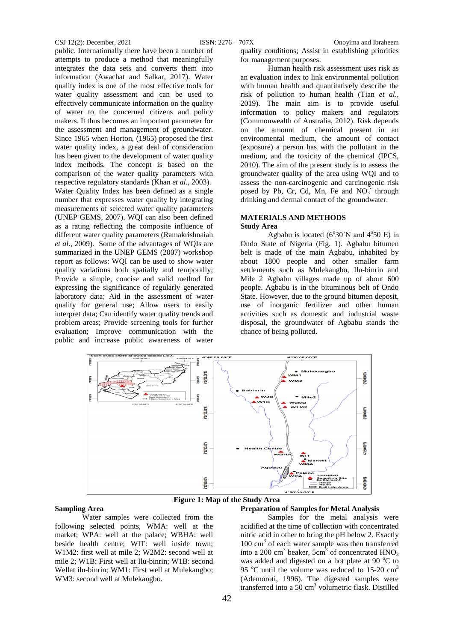public. Internationally there have been a number of attempts to produce a method that meaningfully integrates the data sets and converts them into information (Awachat and Salkar, 2017). Water quality index is one of the most effective tools for water quality assessment and can be used to effectively communicate information on the quality of water to the concerned citizens and policy makers. It thus becomes an important parameter for the assessment and management of groundwater. Since 1965 when Horton, (1965) proposed the first water quality index, a great deal of consideration has been given to the development of water quality index methods. The concept is based on the comparison of the water quality parameters with respective regulatory standards (Khan *et al*., 2003). Water Quality Index has been defined as a single number that expresses water quality by integrating measurements of selected water quality parameters (UNEP GEMS, 2007). WQI can also been defined as a rating reflecting the composite influence of different water quality parameters (Ramakrishnaiah *et al*., 2009). Some of the advantages of WQIs are summarized in the UNEP GEMS (2007) workshop report as follows: WQI can be used to show water quality variations both spatially and temporally; Provide a simple, concise and valid method for expressing the significance of regularly generated laboratory data; Aid in the assessment of water quality for general use; Allow users to easily interpret data; Can identify water quality trends and problem areas; Provide screening tools for further evaluation; Improve communication with the public and increase public awareness of water

CSJ 12(2): December, 2021 ISSN: 2276 – 707X Onoyima and Ibraheem quality conditions; Assist in establishing priorities for management purposes.

Human health risk assessment uses risk as an evaluation index to link environmental pollution with human health and quantitatively describe the risk of pollution to human health (Tian *et al*., 2019). The main aim is to provide useful information to policy makers and regulators (Commonwealth of Australia, 2012). Risk depends on the amount of chemical present in an environmental medium, the amount of contact (exposure) a person has with the pollutant in the medium, and the toxicity of the chemical (IPCS, 2010). The aim of the present study is to assess the groundwater quality of the area using WQI and to assess the non-carcinogenic and carcinogenic risk posed by Pb, Cr, Cd, Mn, Fe and  $NO_3^-$  through drinking and dermal contact of the groundwater.

# **MATERIALS AND METHODS**

#### **Study Area**

Agbabu is located  $(6^{\circ}30'N$  and  $4^{\circ}50'E)$  in Ondo State of Nigeria (Fig. 1). Agbabu bitumen belt is made of the main Agbabu, inhabited by about 1800 people and other smaller farm settlements such as Mulekangbo, Ilu-binrin and Mile 2 Agbabu villages made up of about 600 people. Agbabu is in the bituminous belt of Ondo State. However, due to the ground bitumen deposit, use of inorganic fertilizer and other human activities such as domestic and industrial waste disposal, the groundwater of Agbabu stands the chance of being polluted.



**Figure 1: Map of the Study Area** 

#### **Sampling Area**

Water samples were collected from the following selected points, WMA: well at the market; WPA: well at the palace; WBHA: well beside health centre; WIT: well inside town; W1M2: first well at mile 2; W2M2: second well at mile 2; W1B: First well at Ilu-binrin; W1B: second Wellat ilu-binrin; WM1: First well at Mulekangbo; WM3: second well at Mulekangbo.

# **Preparation of Samples for Metal Analysis**

Samples for the metal analysis were acidified at the time of collection with concentrated nitric acid in other to bring the pH below 2. Exactly 100 cm<sup>3</sup> of each water sample was then transferred into a 200 cm<sup>3</sup> beaker, 5cm<sup>3</sup> of concentrated  $HNO<sub>3</sub>$ was added and digested on a hot plate at 90 °C to 95  $^{\circ}$ C until the volume was reduced to 15-20 cm<sup>3</sup> (Ademoroti*,* 1996). The digested samples were transferred into a 50 cm<sup>3</sup> volumetric flask. Distilled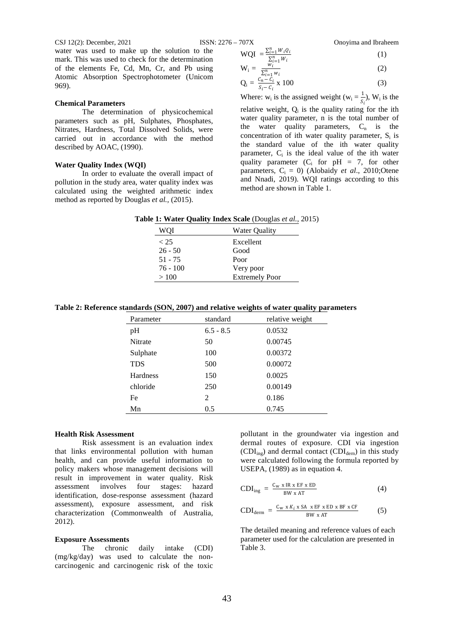CSJ 12(2): December, 2021 ISSN: 2276 – 707X Onoyima and Ibraheem water was used to make up the solution to the

**Chemical Parameters**

described by AOAC, (1990).

**Water Quality Index (WQI)**

969).

mark. This was used to check for the determination of the elements Fe, Cd, Mn, Cr, and Pb using Atomic Absorption Spectrophotometer (Unicom

parameters such as pH, Sulphates, Phosphates, Nitrates, Hardness, Total Dissolved Solids, were carried out in accordance with the method

pollution in the study area, water quality index was calculated using the weighted arithmetic index method as reported by Douglas *et al.,* (2015).

The determination of physicochemical

In order to evaluate the overall impact of

 $WQI = \frac{\sum_{i=1}^{n} W_i Q_i}{\sum_{i=1}^{n} W_i}$ 

$$
\tag{1}
$$

$$
W_i = \frac{\sum_{i=1}^{n} W_i}{\sum_{i=1}^{n} W_i}
$$
 (2)

$$
Q_i = \frac{\sum_{i=1}^{n} w_i}{S_i - C_i} \times 100
$$
 (3)

Where:  $w_i$  is the assigned weight  $(w_i = \frac{1}{S_i})$ ,  $W_i$  is the relative weight,  $Q_i$  is the quality rating for the ith water quality parameter, n is the total number of the water quality parameters,  $C_n$  is the concentration of ith water quality parameter,  $S_i$  is the standard value of the ith water quality parameter,  $C_i$  is the ideal value of the ith water quality parameter  $(C_i$  for pH = 7, for other parameters,  $C_i = 0$ ) (Alobaidy *et al.*, 2010;Otene and Nnadi, 2019). WQI ratings according to this method are shown in Table 1.

**Table 1: Water Quality Index Scale** (Douglas *et al.,* 2015)

| WO I       | Water Quality         |
|------------|-----------------------|
| < 25       | Excellent             |
| $26 - 50$  | Good                  |
| $51 - 75$  | Poor                  |
| $76 - 100$ | Very poor             |
| >100       | <b>Extremely Poor</b> |

**Table 2: Reference standards (SON, 2007) and relative weights of water quality parameters** 

| Parameter       | standard    | relative weight |
|-----------------|-------------|-----------------|
| pH              | $6.5 - 8.5$ | 0.0532          |
| Nitrate         | 50          | 0.00745         |
| Sulphate        | 100         | 0.00372         |
| <b>TDS</b>      | 500         | 0.00072         |
| <b>Hardness</b> | 150         | 0.0025          |
| chloride        | 250         | 0.00149         |
| Fe              | 2           | 0.186           |
| Mn              | 0.5         | 0.745           |

#### **Health Risk Assessment**

Risk assessment is an evaluation index that links environmental pollution with human health, and can provide useful information to policy makers whose management decisions will result in improvement in water quality. Risk assessment involves four stages: hazard identification, dose-response assessment (hazard assessment), exposure assessment, and risk characterization (Commonwealth of Australia, 2012).

# **Exposure Assessments**

The chronic daily intake (CDI) (mg/kg/day) was used to calculate the noncarcinogenic and carcinogenic risk of the toxic pollutant in the groundwater via ingestion and dermal routes of exposure. CDI via ingestion  $(CDI_{ing})$  and dermal contact  $(CDI_{dern})$  in this study were calculated following the formula reported by USEPA, (1989) as in equation 4.

$$
CDI_{\text{ing}} = \frac{C_{\text{w}} \times \text{IR} \times \text{EF} \times \text{ED}}{\text{BW} \times \text{AT}}
$$
(4)

$$
CDI_{\text{derm}} = \frac{C_{w} \times K_{i} \times SA \times EF \times ED \times BF \times CF}{BW \times AT}
$$
 (5)

The detailed meaning and reference values of each parameter used for the calculation are presented in Table 3.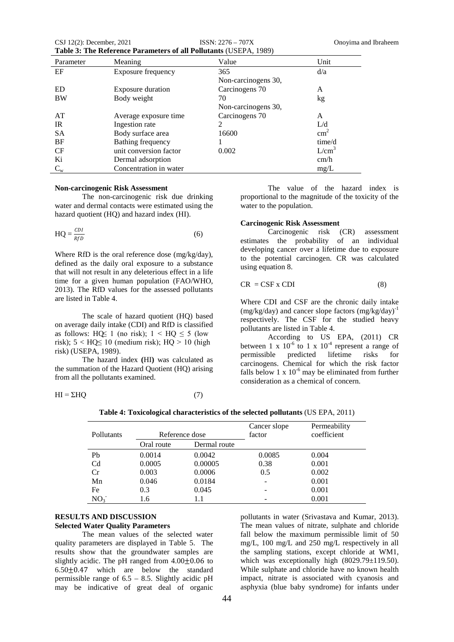| CSJ $12(2)$ : December, 2021                                             | $ISSN: 2276 - 707X$ |
|--------------------------------------------------------------------------|---------------------|
| <b>Table 3: The Reference Parameters of all Pollutants (USEPA, 1989)</b> |                     |

| Parameter | Meaning                   | Value               | Unit              |
|-----------|---------------------------|---------------------|-------------------|
| EF        | <b>Exposure frequency</b> | 365                 | d/a               |
|           |                           | Non-carcinogens 30, |                   |
| ED.       | <b>Exposure duration</b>  | Carcinogens 70      | A                 |
| <b>BW</b> | Body weight               | 70                  | kg                |
|           |                           | Non-carcinogens 30, |                   |
| AT        | Average exposure time     | Carcinogens 70      | A                 |
| <b>IR</b> | Ingestion rate            | 2                   | L/d               |
| <b>SA</b> | Body surface area         | 16600               | $\text{cm}^2$     |
| <b>BF</b> | Bathing frequency         |                     | time/d            |
| CF        | unit conversion factor    | 0.002               | L/cm <sup>3</sup> |
| Ki        | Dermal adsorption         |                     | cm/h              |
| $C_{w}$   | Concentration in water    |                     | mg/L              |

# **Non-carcinogenic Risk Assessment**

The non-carcinogenic risk due drinking water and dermal contacts were estimated using the hazard quotient (HQ) and hazard index (HI).

$$
HQ = \frac{CDI}{RfD}
$$
 (6)

Where RfD is the oral reference dose (mg/kg/day), defined as the daily oral exposure to a substance that will not result in any deleterious effect in a life time for a given human population (FAO/WHO, 2013). The RfD values for the assessed pollutants are listed in Table 4.

The scale of hazard quotient (HQ) based on average daily intake (CDI) and RfD is classified as follows: HQ $\leq$  1 (no risk); 1 < HQ  $\leq$  5 (low risk);  $5 < HQ \le 10$  (medium risk);  $HQ > 10$  (high risk) (USEPA, 1989).

The hazard index **(**HI**)** was calculated as the summation of the Hazard Quotient (HQ) arising from all the pollutants examined.

$$
HI = \Sigma HQ \tag{7}
$$

The value of the hazard index is proportional to the magnitude of the toxicity of the water to the population.

# **Carcinogenic Risk Assessment**

Carcinogenic risk (CR) assessment estimates the probability of an individual developing cancer over a lifetime due to exposure to the potential carcinogen. CR was calculated using equation 8.

$$
CR = CSF \times CDI \tag{8}
$$

Where CDI and CSF are the chronic daily intake  $(mg/kg/day)$  and cancer slope factors  $(mg/kg/day)^{-1}$ respectively. The CSF for the studied heavy pollutants are listed in Table 4.

According to US EPA, (2011) CR between 1 x  $10^{-6}$  to 1 x  $10^{-4}$  represent a range of permissible predicted lifetime risks for carcinogens. Chemical for which the risk factor falls below 1 x  $10^{-6}$  may be eliminated from further consideration as a chemical of concern.

|                 |                |              | Cancer slope | Permeability |
|-----------------|----------------|--------------|--------------|--------------|
| Pollutants      | Reference dose |              | factor       | coefficient  |
|                 | Oral route     | Dermal route |              |              |
| Pb              | 0.0014         | 0.0042       | 0.0085       | 0.004        |
| C <sub>d</sub>  | 0.0005         | 0.00005      | 0.38         | 0.001        |
| Cr              | 0.003          | 0.0006       | 0.5          | 0.002        |
| Mn              | 0.046          | 0.0184       |              | 0.001        |
| Fe              | 0.3            | 0.045        |              | 0.001        |
| NO <sub>3</sub> | 1.6            |              |              | 0.001        |

**Table 4: Toxicological characteristics of the selected pollutants** (US EPA, 2011)

# **RESULTS AND DISCUSSION Selected Water Quality Parameters**

The mean values of the selected water quality parameters are displayed in Table 5. The results show that the groundwater samples are slightly acidic. The pH ranged from  $4.00\pm0.06$  to  $6.50\pm0.47$  which are below the standard permissible range of 6.5 – 8.5. Slightly acidic pH may be indicative of great deal of organic

pollutants in water (Srivastava and Kumar, 2013). The mean values of nitrate, sulphate and chloride fall below the maximum permissible limit of 50 mg/L, 100 mg/L and 250 mg/L respectively in all the sampling stations, except chloride at WM1, which was exceptionally high (8029.79 $\pm$ 119.50). While sulphate and chloride have no known health impact, nitrate is associated with cyanosis and asphyxia (blue baby syndrome) for infants under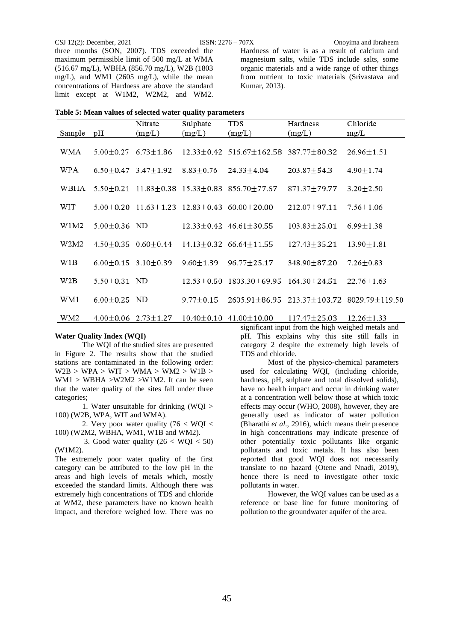three months (SON, 2007). TDS exceeded the maximum permissible limit of 500 mg/L at WMA (516.67 mg/L), WBHA (856.70 mg/L), W2B (1803 mg/L), and WM1 (2605 mg/L), while the mean concentrations of Hardness are above the standard limit except at W1M2, W2M2, and WM2.

CSJ 12(2): December, 2021 ISSN: 2276 – 707X Onoyima and Ibraheem Hardness of water is as a result of calcium and magnesium salts, while TDS include salts, some organic materials and a wide range of other things from nutrient to toxic materials (Srivastava and Kumar, 2013).

| Table 5: Mean values of selected water quality parameters |  |
|-----------------------------------------------------------|--|
|-----------------------------------------------------------|--|

|        |                    | Nitrate                                           | Sulphate        | TDS                                                                 | Hardness           | Chloride                                                     |
|--------|--------------------|---------------------------------------------------|-----------------|---------------------------------------------------------------------|--------------------|--------------------------------------------------------------|
| Sample | pH                 | (mg/L)                                            | (mg/L)          | (mg/L)                                                              | (mg/L)             | mg/L                                                         |
| WMA    | $5.00 + 0.27$      | $6.73 \pm 1.86$                                   |                 | 12.33±0.42 516.67±162.58 387.77±80.32                               |                    | $26.96 \pm 1.51$                                             |
| WPA    |                    | $6.50+0.47$ 3.47+1.92                             | $8.83 \pm 0.76$ | 24.33±4.04                                                          | 203.87±54.3        | $4.90 \pm 1.74$                                              |
| WBHA   |                    | $5.50 \pm 0.21$ 11.83 $\pm$ 0.38 15.33 $\pm$ 0.83 |                 | 856.70+77.67                                                        | 871.37±79.77       | $3.20 \pm 2.50$                                              |
| WIT    |                    |                                                   |                 | $5.00 \pm 0.20$ 11.63 $\pm$ 1.23 12.83 $\pm$ 0.43 60.00 $\pm$ 20.00 | 212.07±97.11       | $7.56 \pm 1.06$                                              |
| W1M2   | $5.00 \pm 0.36$ ND |                                                   |                 | $12.33 \pm 0.42$ 46.61 $\pm$ 30.55                                  | $103.83 \pm 25.01$ | $6.99 \pm 1.38$                                              |
| W2M2   |                    | $4.50+0.35$ $0.60+0.44$                           |                 | $14.13 + 0.32$ 66.64 + 11.55                                        | $127.43 \pm 35.21$ | $13.90 \pm 1.81$                                             |
| W1B    |                    | $6.00 \pm 0.15$ 3.10 $\pm$ 0.39                   | $9.60 \pm 1.39$ | $96.77 \pm 25.17$                                                   | 348.90±87.20       | $7.26 \pm 0.83$                                              |
| W2B    | $5.50 \pm 0.31$ ND |                                                   | $12.53 + 0.50$  | 1803.30±69.95                                                       | 164.30+24.51       | $22.76 \pm 1.63$                                             |
| WM1    | $6.00 \pm 0.25$ ND |                                                   | $9.77 \pm 0.15$ |                                                                     |                    | $2605.91 \pm 86.95$ 213.37 $\pm$ 103.72 8029.79 $\pm$ 119.50 |
| WM2    | $4.00 \pm 0.06$    | $2.73 + 1.27$                                     | $10.40 + 0.10$  | $41.00 \pm 10.00$                                                   | $117.47 \pm 25.03$ | $12.26 \pm 1.33$                                             |

#### **Water Quality Index (WQI)**

The WQI of the studied sites are presented in Figure 2. The results show that the studied stations are contaminated in the following order:  $W2B > WPA > WIT > WMA > WM2 > W1B >$ WM1 > WBHA >W2M2 >W1M2. It can be seen that the water quality of the sites fall under three categories;

1. Water unsuitable for drinking (WQI > 100) (W2B, WPA, WIT and WMA).

2. Very poor water quality (76 < WQI < 100) (W2M2, WBHA, WM1, W1B and WM2).

3. Good water quality  $(26 < WQI < 50)$ (W1M2).

The extremely poor water quality of the first category can be attributed to the low pH in the areas and high levels of metals which, mostly exceeded the standard limits. Although there was extremely high concentrations of TDS and chloride at WM2, these parameters have no known health impact, and therefore weighed low. There was no

significant input from the high weighed metals and pH. This explains why this site still falls in category 2 despite the extremely high levels of TDS and chloride.

Most of the physico-chemical parameters used for calculating WQI, (including chloride, hardness, pH, sulphate and total dissolved solids), have no health impact and occur in drinking water at a concentration well below those at which toxic effects may occur (WHO, 2008), however, they are generally used as indicator of water pollution (Bharathi *et al*., 2916), which means their presence in high concentrations may indicate presence of other potentially toxic pollutants like organic pollutants and toxic metals. It has also been reported that good WQI does not necessarily translate to no hazard (Otene and Nnadi, 2019), hence there is need to investigate other toxic pollutants in water.

However, the WQI values can be used as a reference or base line for future monitoring of pollution to the groundwater aquifer of the area.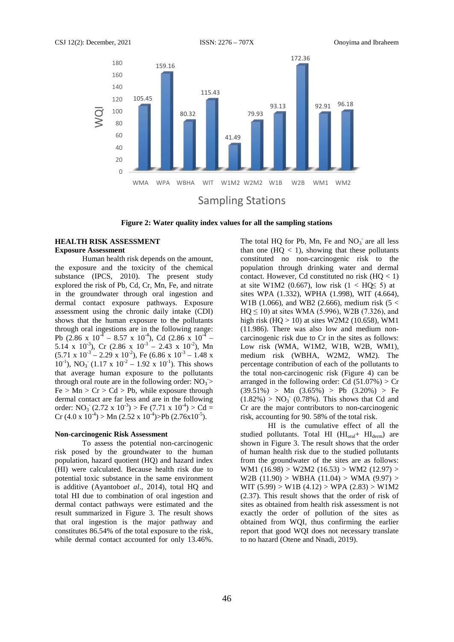

**Figure 2: Water quality index values for all the sampling stations**

### **HEALTH RISK ASSESSMENT Exposure Assessment**

Human health risk depends on the amount, the exposure and the toxicity of the chemical substance (IPCS, 2010). The present study explored the risk of Pb, Cd, Cr, Mn, Fe, and nitrate in the groundwater through oral ingestion and dermal contact exposure pathways. Exposure assessment using the chronic daily intake (CDI) shows that the human exposure to the pollutants through oral ingestions are in the following range: Pb (2.86 x  $10^{-4}$  – 8.57 x  $10^{-4}$ ), Cd (2.86 x  $10^{-4}$  – 5.14 x 10<sup>-3</sup>), Cr (2.86 x 10<sup>-3</sup> – 2.43 x 10<sup>-2</sup>), Mn  $(5.71 \times 10^{-3} - 2.29 \times 10^{-2})$ , Fe  $(6.86 \times 10^{-3} - 1.48 \times$  $10^{-1}$ ), NO<sub>3</sub><sup>-</sup> (1.17 x 10<sup>-2</sup> – 1.92 x 10<sup>-1</sup>). This shows that average human exposure to the pollutants through oral route are in the following order:  $NO<sub>3</sub>$  >  $Fe > Mn > Cr > Cd > Pb$ , while exposure through dermal contact are far less and are in the following order:  $NO_3$ <sup>-</sup> (2.72 x 10<sup>-3</sup>) > Fe (7.71 x 10<sup>-4</sup>) > Cd = Cr  $(4.0 \times 10^{-4})$  > Mn  $(2.52 \times 10^{-4})$  > Pb  $(2.76 \times 10^{-5})$ .

#### **Non-carcinogenic Risk Assessment**

To assess the potential non-carcinogenic risk posed by the groundwater to the human population, hazard quotient (HQ) and hazard index (HI) were calculated. Because health risk due to potential toxic substance in the same environment is additive (Ayantobo*et al*., 2014), total HQ and total HI due to combination of oral ingestion and dermal contact pathways were estimated and the result summarized in Figure 3. The result shows that oral ingestion is the major pathway and constitutes 86.54% of the total exposure to the risk, while dermal contact accounted for only 13.46%.

The total HQ for Pb, Mn, Fe and  $NO<sub>3</sub>$  are all less than one  $(HQ < 1)$ , showing that these pollutants constituted no non-carcinogenic risk to the population through drinking water and dermal contact. However, Cd constituted no risk  $(HQ < 1)$ at site W1M2 (0.667), low risk  $(1 < HQ \le 5)$  at sites WPA (1.332), WPHA (1.998), WIT (4.664), W1B (1.066), and WB2 (2.666), medium risk (5 <  $HQ \le 10$ ) at sites WMA (5.996), W2B (7.326), and high risk  $(HQ > 10)$  at sites W2M2 (10.658), WM1 (11.986). There was also low and medium noncarcinogenic risk due to Cr in the sites as follows: Low risk (WMA, W1M2, W1B, W2B, WM1), medium risk (WBHA, W2M2, WM2). The percentage contribution of each of the pollutants to the total non-carcinogenic risk (Figure 4) can be arranged in the following order: Cd  $(51.07%) > Cr$  $(39.51\%)$  > Mn  $(3.65\%)$  > Pb  $(3.20\%)$  > Fe  $(1.82\%) > NO_3$ <sup>-</sup> (0.78%). This shows that Cd and Cr are the major contributors to non-carcinogenic risk, accounting for 90. 58% of the total risk.

HI is the cumulative effect of all the studied pollutants. Total HI  $(HI_{oral} + HI_{derm})$  are shown in Figure 3. The result shows that the order of human health risk due to the studied pollutants from the groundwater of the sites are as follows: WM1 (16.98) > W2M2 (16.53) > WM2 (12.97) > W2B (11.90) > WBHA (11.04) > WMA (9.97) > WIT  $(5.99)$  > W1B  $(4.12)$  > WPA  $(2.83)$  > W1M2 (2.37). This result shows that the order of risk of sites as obtained from health risk assessment is not exactly the order of pollution of the sites as obtained from WQI, thus confirming the earlier report that good WQI does not necessary translate to no hazard (Otene and Nnadi, 2019).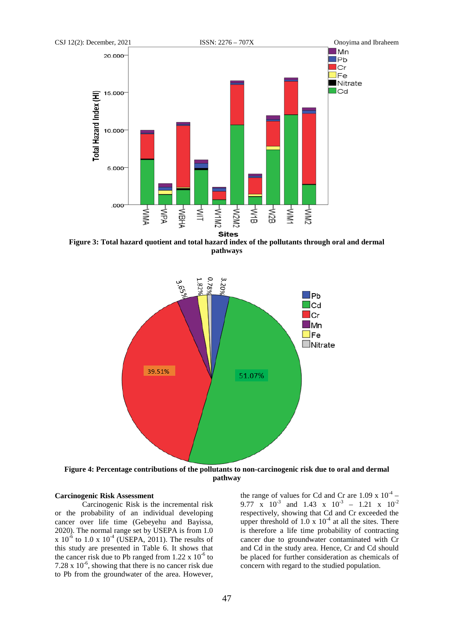

**Figure 3: Total hazard quotient and total hazard index of the pollutants through oral and dermal pathways**



**Figure 4: Percentage contributions of the pollutants to non-carcinogenic risk due to oral and dermal pathway**

# **Carcinogenic Risk Assessment**

Carcinogenic Risk is the incremental risk or the probability of an individual developing cancer over life time (Gebeyehu and Bayissa, 2020). The normal range set by USEPA is from 1.0 x  $10^{-6}$  to 1.0 x  $10^{-4}$  (USEPA, 2011). The results of this study are presented in Table 6. It shows that the cancer risk due to Pb ranged from  $1.22 \times 10^{-6}$  to 7.28 x  $10^{-6}$ , showing that there is no cancer risk due to Pb from the groundwater of the area. However,

the range of values for Cd and Cr are  $1.09 \times 10^{-4}$  – 9.77 x  $10^{-3}$  and 1.43 x  $10^{-3}$  – 1.21 x  $10^{-2}$ respectively, showing that Cd and Cr exceeded the upper threshold of  $1.0 \times 10^{-4}$  at all the sites. There is therefore a life time probability of contracting cancer due to groundwater contaminated with Cr and Cd in the study area. Hence, Cr and Cd should be placed for further consideration as chemicals of concern with regard to the studied population.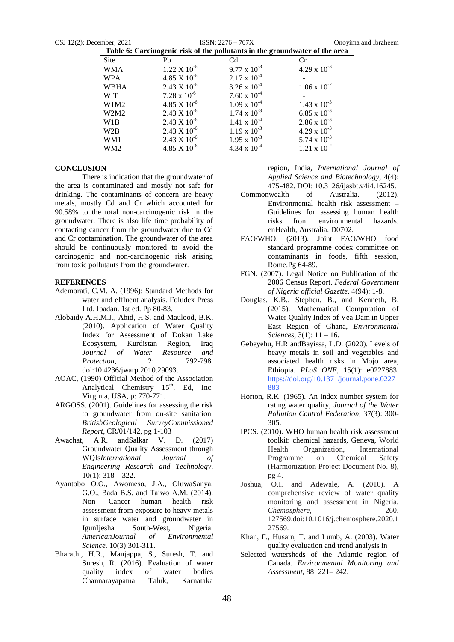CSJ 12(2): December, 2021 ISSN: 2276 – 707X Onoyima and Ibraheem

| Table 6: Carcinogenic risk of the pollutants in the groundwater of the area |                       |                       |                       |  |
|-----------------------------------------------------------------------------|-----------------------|-----------------------|-----------------------|--|
| Site                                                                        | Pb                    | C <sub>d</sub>        | Сr                    |  |
| <b>WMA</b>                                                                  | $1.22 \times 10^{-6}$ | $9.77 \times 10^{-3}$ | $4.29 \times 10^{-3}$ |  |
| <b>WPA</b>                                                                  | $4.85 \times 10^{-6}$ | $2.17 \times 10^{-4}$ |                       |  |
| <b>WBHA</b>                                                                 | $2.43 \times 10^{-6}$ | $3.26 \times 10^{-4}$ | $1.06 \times 10^{-2}$ |  |
| <b>WIT</b>                                                                  | $7.28 \times 10^{-6}$ | $7.60 \times 10^{-4}$ |                       |  |
| W1M2                                                                        | $4.85 \times 10^{-6}$ | $1.09 \times 10^{-4}$ | $1.43 \times 10^{-3}$ |  |
| W2M2                                                                        | $2.43 \times 10^{-6}$ | $1.74 \times 10^{-3}$ | $6.85 \times 10^{-3}$ |  |
| W1B                                                                         | $2.43 \times 10^{-6}$ | $1.41 \times 10^{-4}$ | $2.86 \times 10^{-3}$ |  |
| W <sub>2</sub> B                                                            | $2.43 \times 10^{-6}$ | $1.19 \times 10^{-3}$ | $4.29 \times 10^{-3}$ |  |
| WM1                                                                         | $2.43 \times 10^{-6}$ | $1.95 \times 10^{-3}$ | 5.74 x $10^{-3}$      |  |
| WM <sub>2</sub>                                                             | $4.85 \times 10^{-6}$ | $4.34 \times 10^{-4}$ | $1.21 \times 10^{-2}$ |  |

#### **CONCLUSION**

There is indication that the groundwater of the area is contaminated and mostly not safe for drinking. The contaminants of concern are heavy metals, mostly Cd and Cr which accounted for 90.58% to the total non-carcinogenic risk in the groundwater. There is also life time probability of contacting cancer from the groundwater due to Cd and Cr contamination. The groundwater of the area should be continuously monitored to avoid the carcinogenic and non-carcinogenic risk arising from toxic pollutants from the groundwater.

#### **REFERENCES**

- Ademorati, C.M. A. (1996): Standard Methods for water and effluent analysis. Foludex Press Ltd, Ibadan. 1st ed. Pp 80-83.
- Alobaidy A.H.M.J., Abid, H.S. and Maulood, B.K. (2010). Application of Water Quality Index for Assessment of Dokan Lake Ecosystem, Kurdistan Region, Iraq *Journal of Water Resource and Protection*, 2: 792-798. doi:10.4236/jwarp.2010.29093.
- AOAC, (1990) Official Method of the Association Analytical Chemistry  $15<sup>th</sup>$ , Ed, Inc. Virginia, USA, p: 770-771.
- ARGOSS. (2001). Guidelines for assessing the risk to groundwater from on-site sanitation. *BritishGeological SurveyCommissioned Report*, CR/01/142, pg 1-103
- Awachat, A.R. andSalkar V. D. (2017) Groundwater Quality Assessment through WQIs*International Journal of Engineering Research and Technology*, 10(1): 318 – 322.
- Ayantobo O.O., Awomeso, J.A., OluwaSanya, G.O., Bada B.S. and Taiwo A.M. (2014). Non- Cancer human health risk assessment from exposure to heavy metals in surface water and groundwater in IgunIjesha South-West, Nigeria. *AmericanJournal of Environmental Science.* 10(3):301-311.
- Bharathi, H.R., Manjappa, S., Suresh, T. and Suresh, R. (2016). Evaluation of water<br>quality index of water bodies quality index of water bodies Channarayapatna Taluk, Karnataka

region, India, *International Journal of Applied Science and Biotechnology*, 4(4): 475-482. DOI: 10.3126/ijasbt.v4i4.16245.

- Commonwealth of Australia. (2012). Environmental health risk assessment – Guidelines for assessing human health risks from environmental hazards. enHealth, Australia. D0702.
- FAO/WHO. (2013). Joint FAO/WHO food standard programme codex committee on contaminants in foods, fifth session, Rome.Pg 64-89.
- FGN. (2007). Legal Notice on Publication of the 2006 Census Report. *Federal Government of Nigeria official Gazette,* 4(94): 1-8.
- Douglas, K.B., Stephen, B., and Kenneth, B. (2015). Mathematical Computation of Water Quality Index of Vea Dam in Upper East Region of Ghana, *Environmental Sciences*, 3(1): 11 – 16.
- Gebeyehu, H.R andBayissa, L.D. (2020). Levels of heavy metals in soil and vegetables and associated health risks in Mojo area, Ethiopia. *PLoS ONE,* 15(1): e0227883. https://doi.org/10.1371/journal.pone.0227 883
- Horton, R.K. (1965). An index number system for rating water quality, *Journal of the Water Pollution Control Federation,* 37(3): 300- 305.
- IPCS. (2010). WHO human health risk assessment toolkit: chemical hazards, Geneva, World Health Organization, International Programme on Chemical Safety (Harmonization Project Document No. 8), pg 4.
- Joshua, O.I. and Adewale, A. (2010). A comprehensive review of water quality monitoring and assessment in Nigeria. *Chemosphere*, 260. 127569.doi:10.1016/j.chemosphere.2020.1 27569.
- Khan, F., Husain, T. and Lumb, A. (2003). Water quality evaluation and trend analysis in
- Selected watersheds of the Atlantic region of Canada. *Environmental Monitoring and Assessment,* 88: 221– 242.